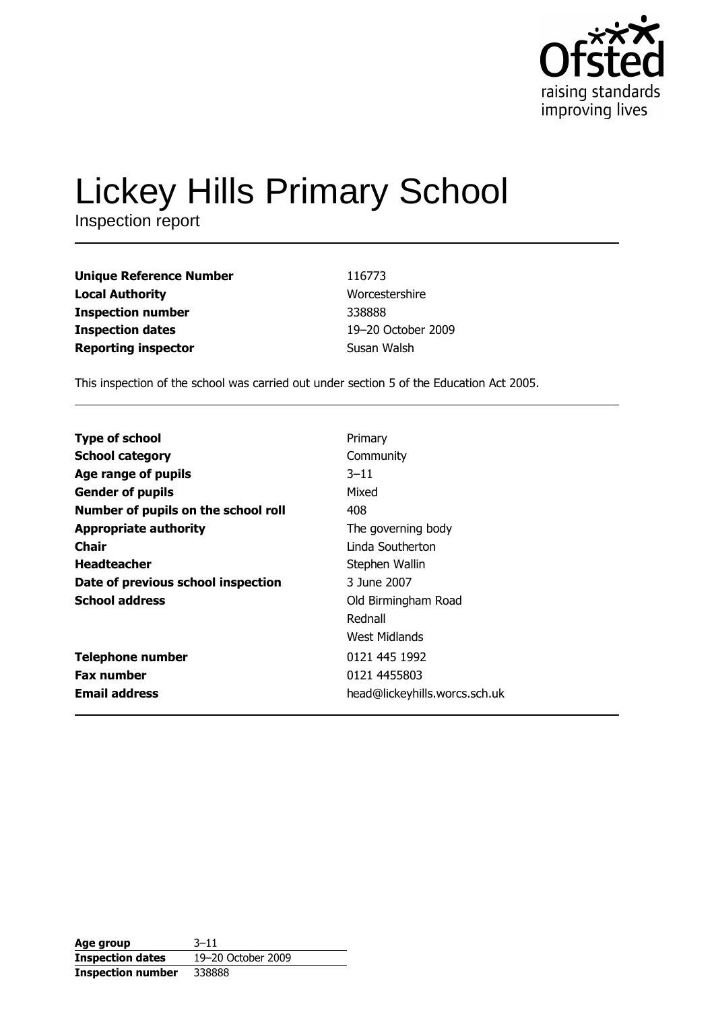

# **Lickey Hills Primary School**

Inspection report

**Unique Reference Number Local Authority Inspection number Inspection dates Reporting inspector** 

116773 Worcestershire 338888 19-20 October 2009 Susan Walsh

This inspection of the school was carried out under section 5 of the Education Act 2005.

| <b>Type of school</b>               | Primary                       |
|-------------------------------------|-------------------------------|
| <b>School category</b>              | Community                     |
| Age range of pupils                 | $3 - 11$                      |
| <b>Gender of pupils</b>             | Mixed                         |
| Number of pupils on the school roll | 408                           |
| <b>Appropriate authority</b>        | The governing body            |
| <b>Chair</b>                        | Linda Southerton              |
| <b>Headteacher</b>                  | Stephen Wallin                |
| Date of previous school inspection  | 3 June 2007                   |
| <b>School address</b>               | Old Birmingham Road           |
|                                     | Rednall                       |
|                                     | West Midlands                 |
| <b>Telephone number</b>             | 0121 445 1992                 |
| <b>Fax number</b>                   | 0121 4455803                  |
| <b>Email address</b>                | head@lickeyhills.worcs.sch.uk |
|                                     |                               |

| Age group                | $3 - 11$           |
|--------------------------|--------------------|
| <b>Inspection dates</b>  | 19-20 October 2009 |
| <b>Inspection number</b> | 338888             |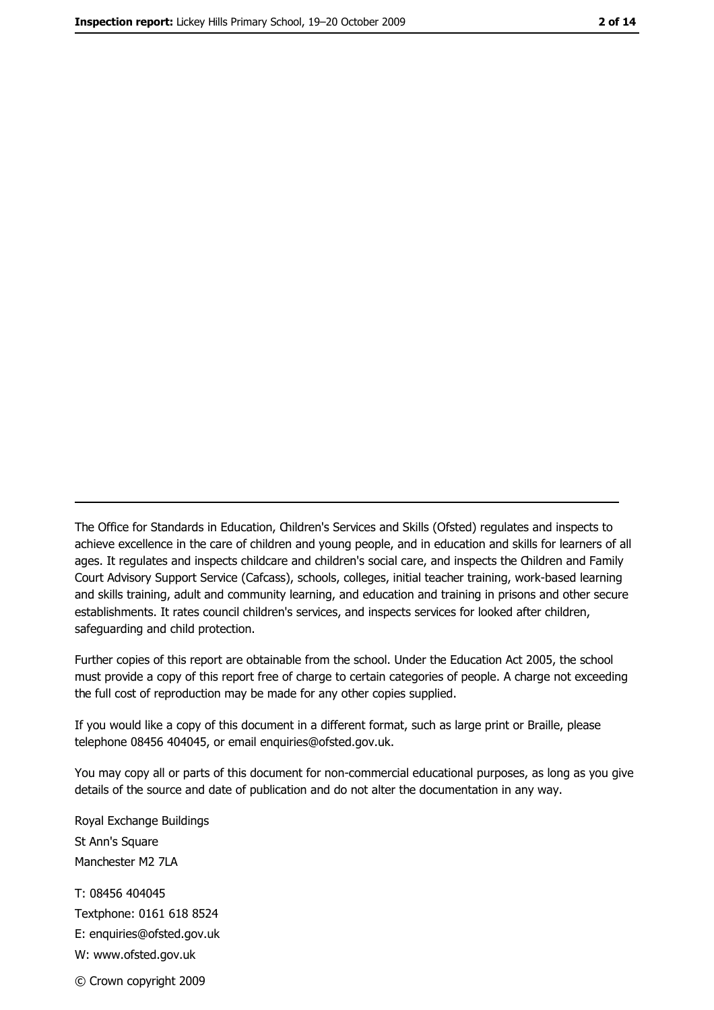The Office for Standards in Education, Children's Services and Skills (Ofsted) regulates and inspects to achieve excellence in the care of children and young people, and in education and skills for learners of all ages. It regulates and inspects childcare and children's social care, and inspects the Children and Family Court Advisory Support Service (Cafcass), schools, colleges, initial teacher training, work-based learning and skills training, adult and community learning, and education and training in prisons and other secure establishments. It rates council children's services, and inspects services for looked after children, safequarding and child protection.

Further copies of this report are obtainable from the school. Under the Education Act 2005, the school must provide a copy of this report free of charge to certain categories of people. A charge not exceeding the full cost of reproduction may be made for any other copies supplied.

If you would like a copy of this document in a different format, such as large print or Braille, please telephone 08456 404045, or email enquiries@ofsted.gov.uk.

You may copy all or parts of this document for non-commercial educational purposes, as long as you give details of the source and date of publication and do not alter the documentation in any way.

Royal Exchange Buildings St Ann's Square Manchester M2 7LA T: 08456 404045 Textphone: 0161 618 8524 E: enquiries@ofsted.gov.uk W: www.ofsted.gov.uk © Crown copyright 2009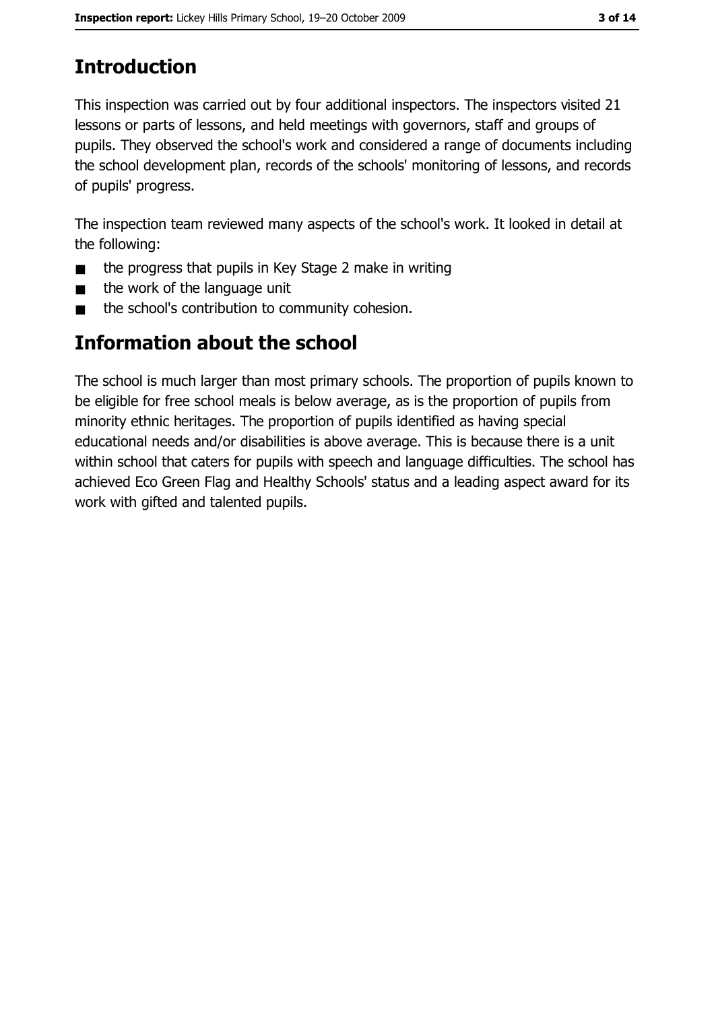# **Introduction**

This inspection was carried out by four additional inspectors. The inspectors visited 21 lessons or parts of lessons, and held meetings with governors, staff and groups of pupils. They observed the school's work and considered a range of documents including the school development plan, records of the schools' monitoring of lessons, and records of pupils' progress.

The inspection team reviewed many aspects of the school's work. It looked in detail at the following:

- the progress that pupils in Key Stage 2 make in writing  $\blacksquare$
- the work of the language unit  $\blacksquare$
- the school's contribution to community cohesion.  $\blacksquare$

## **Information about the school**

The school is much larger than most primary schools. The proportion of pupils known to be eligible for free school meals is below average, as is the proportion of pupils from minority ethnic heritages. The proportion of pupils identified as having special educational needs and/or disabilities is above average. This is because there is a unit within school that caters for pupils with speech and language difficulties. The school has achieved Eco Green Flag and Healthy Schools' status and a leading aspect award for its work with gifted and talented pupils.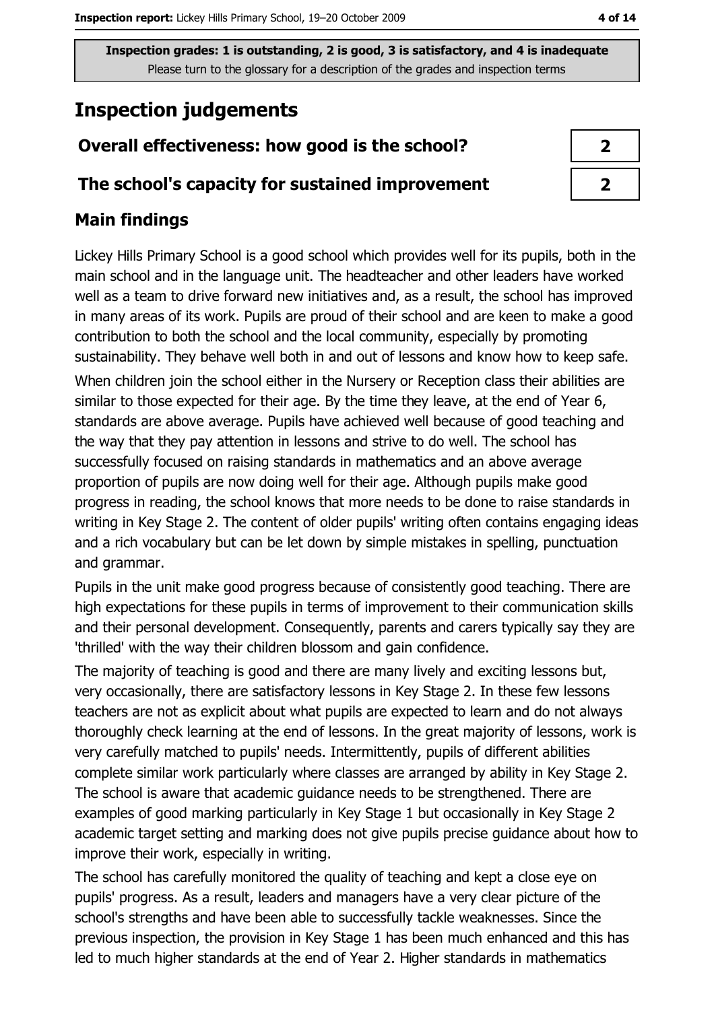# **Inspection judgements**

## Overall effectiveness: how good is the school?

#### The school's capacity for sustained improvement

## **Main findings**

Lickey Hills Primary School is a good school which provides well for its pupils, both in the main school and in the language unit. The headteacher and other leaders have worked well as a team to drive forward new initiatives and, as a result, the school has improved in many areas of its work. Pupils are proud of their school and are keen to make a good contribution to both the school and the local community, especially by promoting sustainability. They behave well both in and out of lessons and know how to keep safe. When children join the school either in the Nursery or Reception class their abilities are similar to those expected for their age. By the time they leave, at the end of Year 6, standards are above average. Pupils have achieved well because of good teaching and the way that they pay attention in lessons and strive to do well. The school has successfully focused on raising standards in mathematics and an above average proportion of pupils are now doing well for their age. Although pupils make good progress in reading, the school knows that more needs to be done to raise standards in writing in Key Stage 2. The content of older pupils' writing often contains engaging ideas and a rich vocabulary but can be let down by simple mistakes in spelling, punctuation and grammar.

Pupils in the unit make good progress because of consistently good teaching. There are high expectations for these pupils in terms of improvement to their communication skills and their personal development. Consequently, parents and carers typically say they are 'thrilled' with the way their children blossom and gain confidence.

The majority of teaching is good and there are many lively and exciting lessons but, very occasionally, there are satisfactory lessons in Key Stage 2. In these few lessons teachers are not as explicit about what pupils are expected to learn and do not always thoroughly check learning at the end of lessons. In the great majority of lessons, work is very carefully matched to pupils' needs. Intermittently, pupils of different abilities complete similar work particularly where classes are arranged by ability in Key Stage 2. The school is aware that academic guidance needs to be strengthened. There are examples of good marking particularly in Key Stage 1 but occasionally in Key Stage 2 academic target setting and marking does not give pupils precise guidance about how to improve their work, especially in writing.

The school has carefully monitored the quality of teaching and kept a close eve on pupils' progress. As a result, leaders and managers have a very clear picture of the school's strengths and have been able to successfully tackle weaknesses. Since the previous inspection, the provision in Key Stage 1 has been much enhanced and this has led to much higher standards at the end of Year 2. Higher standards in mathematics

| 2 |
|---|
| 2 |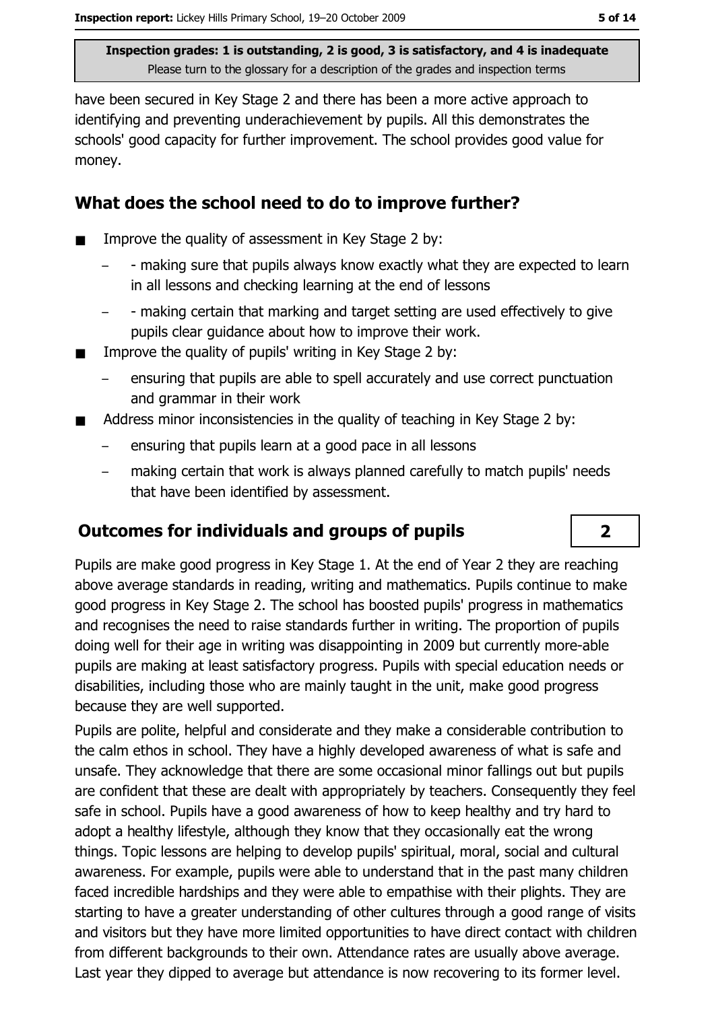have been secured in Key Stage 2 and there has been a more active approach to identifying and preventing underachievement by pupils. All this demonstrates the schools' good capacity for further improvement. The school provides good value for money.

#### What does the school need to do to improve further?

- Improve the quality of assessment in Key Stage 2 by:  $\blacksquare$ 
	- making sure that pupils always know exactly what they are expected to learn in all lessons and checking learning at the end of lessons
	- making certain that marking and target setting are used effectively to give pupils clear guidance about how to improve their work.
- Improve the quality of pupils' writing in Key Stage 2 by:
	- ensuring that pupils are able to spell accurately and use correct punctuation and grammar in their work
- Address minor inconsistencies in the quality of teaching in Key Stage 2 by:
	- ensuring that pupils learn at a good pace in all lessons
	- making certain that work is always planned carefully to match pupils' needs that have been identified by assessment.

#### **Outcomes for individuals and groups of pupils**

Pupils are make good progress in Key Stage 1. At the end of Year 2 they are reaching above average standards in reading, writing and mathematics. Pupils continue to make good progress in Key Stage 2. The school has boosted pupils' progress in mathematics and recognises the need to raise standards further in writing. The proportion of pupils doing well for their age in writing was disappointing in 2009 but currently more-able pupils are making at least satisfactory progress. Pupils with special education needs or disabilities, including those who are mainly taught in the unit, make good progress because they are well supported.

Pupils are polite, helpful and considerate and they make a considerable contribution to the calm ethos in school. They have a highly developed awareness of what is safe and unsafe. They acknowledge that there are some occasional minor fallings out but pupils are confident that these are dealt with appropriately by teachers. Consequently they feel safe in school. Pupils have a good awareness of how to keep healthy and try hard to adopt a healthy lifestyle, although they know that they occasionally eat the wrong things. Topic lessons are helping to develop pupils' spiritual, moral, social and cultural awareness. For example, pupils were able to understand that in the past many children faced incredible hardships and they were able to empathise with their plights. They are starting to have a greater understanding of other cultures through a good range of visits and visitors but they have more limited opportunities to have direct contact with children from different backgrounds to their own. Attendance rates are usually above average. Last year they dipped to average but attendance is now recovering to its former level.

 $\overline{\mathbf{2}}$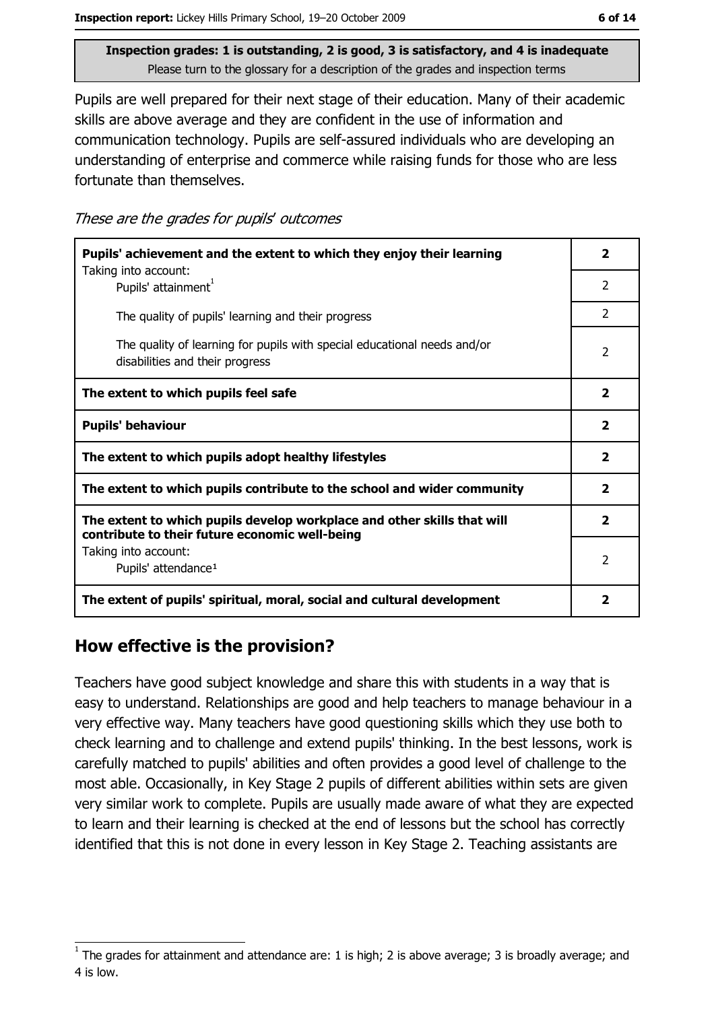Pupils are well prepared for their next stage of their education. Many of their academic skills are above average and they are confident in the use of information and communication technology. Pupils are self-assured individuals who are developing an understanding of enterprise and commerce while raising funds for those who are less fortunate than themselves.

These are the grades for pupils' outcomes

| Pupils' achievement and the extent to which they enjoy their learning                                                     |                |
|---------------------------------------------------------------------------------------------------------------------------|----------------|
| Taking into account:<br>Pupils' attainment <sup>1</sup>                                                                   | 2              |
| The quality of pupils' learning and their progress                                                                        | $\mathcal{P}$  |
| The quality of learning for pupils with special educational needs and/or<br>disabilities and their progress               | $\overline{2}$ |
| The extent to which pupils feel safe                                                                                      |                |
| <b>Pupils' behaviour</b>                                                                                                  |                |
| The extent to which pupils adopt healthy lifestyles                                                                       |                |
| The extent to which pupils contribute to the school and wider community                                                   |                |
| The extent to which pupils develop workplace and other skills that will<br>contribute to their future economic well-being |                |
| Taking into account:<br>Pupils' attendance <sup>1</sup>                                                                   |                |
| The extent of pupils' spiritual, moral, social and cultural development                                                   |                |

#### How effective is the provision?

Teachers have good subject knowledge and share this with students in a way that is easy to understand. Relationships are good and help teachers to manage behaviour in a very effective way. Many teachers have good questioning skills which they use both to check learning and to challenge and extend pupils' thinking. In the best lessons, work is carefully matched to pupils' abilities and often provides a good level of challenge to the most able. Occasionally, in Key Stage 2 pupils of different abilities within sets are given very similar work to complete. Pupils are usually made aware of what they are expected to learn and their learning is checked at the end of lessons but the school has correctly identified that this is not done in every lesson in Key Stage 2. Teaching assistants are

The grades for attainment and attendance are: 1 is high; 2 is above average; 3 is broadly average; and 4 is low.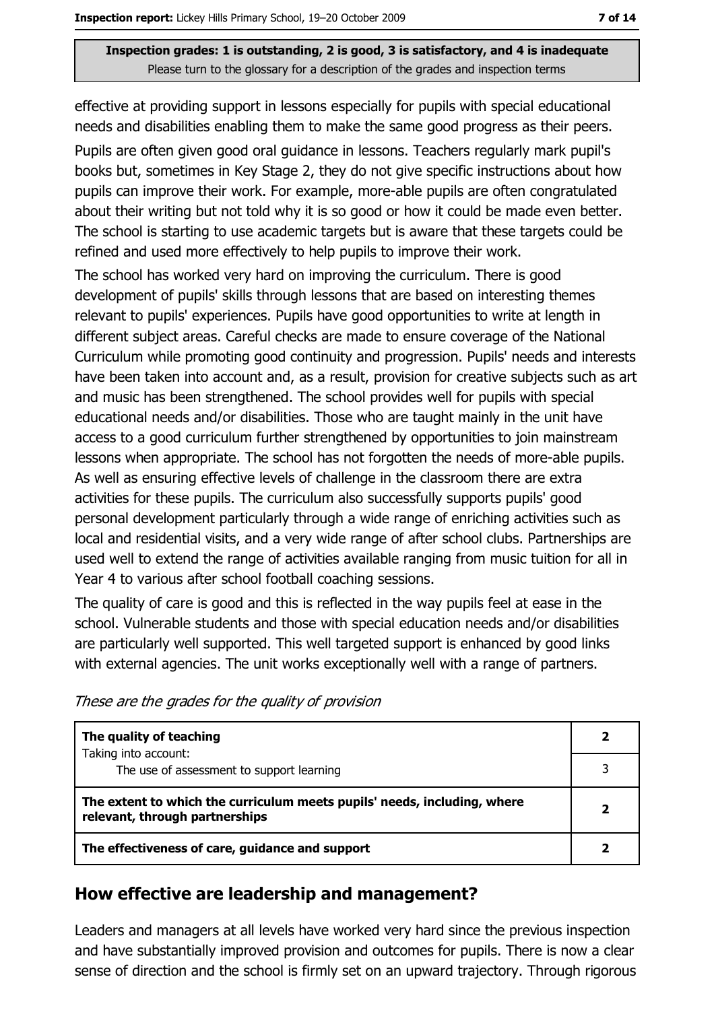effective at providing support in lessons especially for pupils with special educational needs and disabilities enabling them to make the same good progress as their peers. Pupils are often given good oral guidance in lessons. Teachers regularly mark pupil's books but, sometimes in Key Stage 2, they do not give specific instructions about how pupils can improve their work. For example, more-able pupils are often congratulated about their writing but not told why it is so good or how it could be made even better. The school is starting to use academic targets but is aware that these targets could be refined and used more effectively to help pupils to improve their work.

The school has worked very hard on improving the curriculum. There is good development of pupils' skills through lessons that are based on interesting themes relevant to pupils' experiences. Pupils have good opportunities to write at length in different subject areas. Careful checks are made to ensure coverage of the National Curriculum while promoting good continuity and progression. Pupils' needs and interests have been taken into account and, as a result, provision for creative subjects such as art and music has been strengthened. The school provides well for pupils with special educational needs and/or disabilities. Those who are taught mainly in the unit have access to a good curriculum further strengthened by opportunities to join mainstream lessons when appropriate. The school has not forgotten the needs of more-able pupils. As well as ensuring effective levels of challenge in the classroom there are extra activities for these pupils. The curriculum also successfully supports pupils' good personal development particularly through a wide range of enriching activities such as local and residential visits, and a very wide range of after school clubs. Partnerships are used well to extend the range of activities available ranging from music tuition for all in Year 4 to various after school football coaching sessions.

The quality of care is good and this is reflected in the way pupils feel at ease in the school. Vulnerable students and those with special education needs and/or disabilities are particularly well supported. This well targeted support is enhanced by good links with external agencies. The unit works exceptionally well with a range of partners.

| The quality of teaching                                                                                    |  |
|------------------------------------------------------------------------------------------------------------|--|
| Taking into account:<br>The use of assessment to support learning                                          |  |
| The extent to which the curriculum meets pupils' needs, including, where<br>relevant, through partnerships |  |
| The effectiveness of care, guidance and support                                                            |  |

These are the grades for the quality of provision

#### How effective are leadership and management?

Leaders and managers at all levels have worked very hard since the previous inspection and have substantially improved provision and outcomes for pupils. There is now a clear sense of direction and the school is firmly set on an upward trajectory. Through rigorous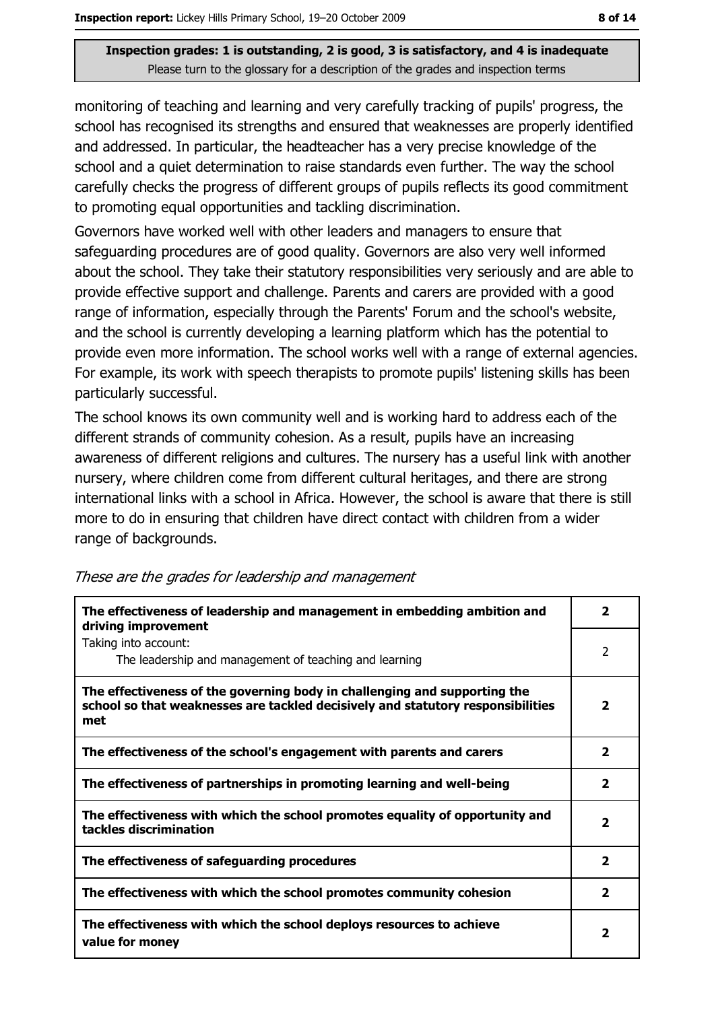monitoring of teaching and learning and very carefully tracking of pupils' progress, the school has recognised its strengths and ensured that weaknesses are properly identified and addressed. In particular, the headteacher has a very precise knowledge of the school and a quiet determination to raise standards even further. The way the school carefully checks the progress of different groups of pupils reflects its good commitment to promoting equal opportunities and tackling discrimination.

Governors have worked well with other leaders and managers to ensure that safeguarding procedures are of good quality. Governors are also very well informed about the school. They take their statutory responsibilities very seriously and are able to provide effective support and challenge. Parents and carers are provided with a good range of information, especially through the Parents' Forum and the school's website, and the school is currently developing a learning platform which has the potential to provide even more information. The school works well with a range of external agencies. For example, its work with speech therapists to promote pupils' listening skills has been particularly successful.

The school knows its own community well and is working hard to address each of the different strands of community cohesion. As a result, pupils have an increasing awareness of different religions and cultures. The nursery has a useful link with another nursery, where children come from different cultural heritages, and there are strong international links with a school in Africa. However, the school is aware that there is still more to do in ensuring that children have direct contact with children from a wider range of backgrounds.

| The effectiveness of leadership and management in embedding ambition and<br>driving improvement                                                                     |                         |
|---------------------------------------------------------------------------------------------------------------------------------------------------------------------|-------------------------|
| Taking into account:<br>The leadership and management of teaching and learning                                                                                      | 2                       |
| The effectiveness of the governing body in challenging and supporting the<br>school so that weaknesses are tackled decisively and statutory responsibilities<br>met | $\mathbf{2}$            |
| The effectiveness of the school's engagement with parents and carers                                                                                                | $\mathbf{2}$            |
| The effectiveness of partnerships in promoting learning and well-being                                                                                              | $\overline{\mathbf{2}}$ |
| The effectiveness with which the school promotes equality of opportunity and<br>tackles discrimination                                                              | $\mathbf{2}$            |
| The effectiveness of safeguarding procedures                                                                                                                        | $\overline{\mathbf{2}}$ |
| The effectiveness with which the school promotes community cohesion                                                                                                 | $\overline{\mathbf{2}}$ |
| The effectiveness with which the school deploys resources to achieve<br>value for money                                                                             |                         |

These are the grades for leadership and management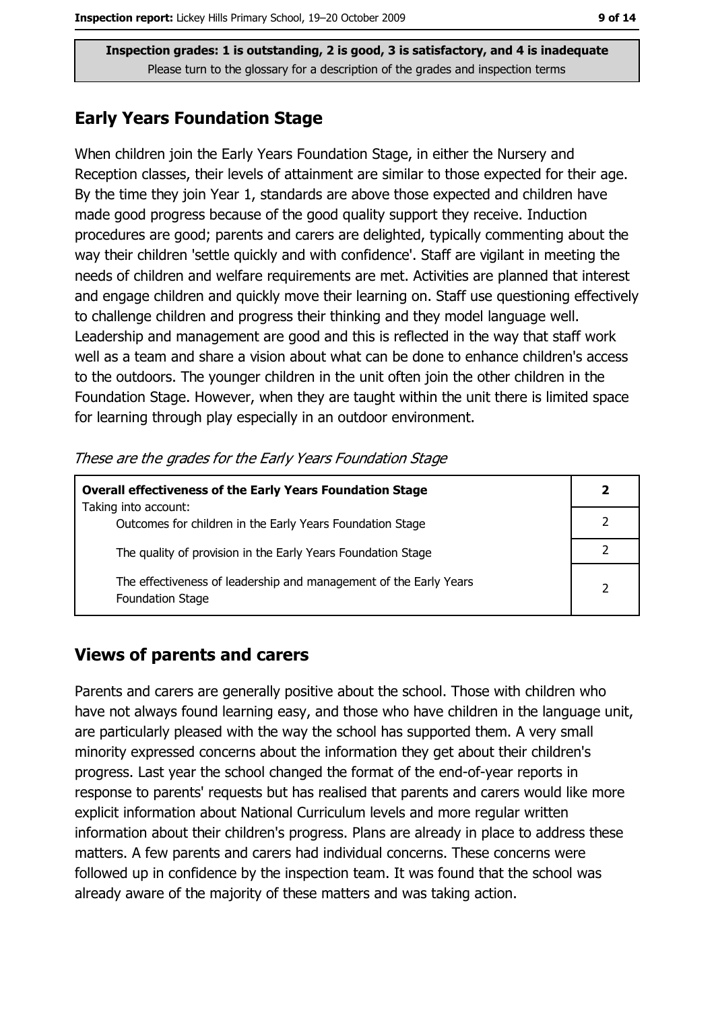#### **Early Years Foundation Stage**

When children join the Early Years Foundation Stage, in either the Nursery and Reception classes, their levels of attainment are similar to those expected for their age. By the time they join Year 1, standards are above those expected and children have made good progress because of the good quality support they receive. Induction procedures are good; parents and carers are delighted, typically commenting about the way their children 'settle quickly and with confidence'. Staff are vigilant in meeting the needs of children and welfare requirements are met. Activities are planned that interest and engage children and quickly move their learning on. Staff use questioning effectively to challenge children and progress their thinking and they model language well. Leadership and management are good and this is reflected in the way that staff work well as a team and share a vision about what can be done to enhance children's access to the outdoors. The younger children in the unit often join the other children in the Foundation Stage. However, when they are taught within the unit there is limited space for learning through play especially in an outdoor environment.

These are the grades for the Early Years Foundation Stage

| <b>Overall effectiveness of the Early Years Foundation Stage</b>                             |                |
|----------------------------------------------------------------------------------------------|----------------|
| Taking into account:                                                                         |                |
| Outcomes for children in the Early Years Foundation Stage                                    |                |
| The quality of provision in the Early Years Foundation Stage                                 |                |
| The effectiveness of leadership and management of the Early Years<br><b>Foundation Stage</b> | $\overline{2}$ |

#### **Views of parents and carers**

Parents and carers are generally positive about the school. Those with children who have not always found learning easy, and those who have children in the language unit, are particularly pleased with the way the school has supported them. A very small minority expressed concerns about the information they get about their children's progress. Last year the school changed the format of the end-of-year reports in response to parents' requests but has realised that parents and carers would like more explicit information about National Curriculum levels and more regular written information about their children's progress. Plans are already in place to address these matters. A few parents and carers had individual concerns. These concerns were followed up in confidence by the inspection team. It was found that the school was already aware of the majority of these matters and was taking action.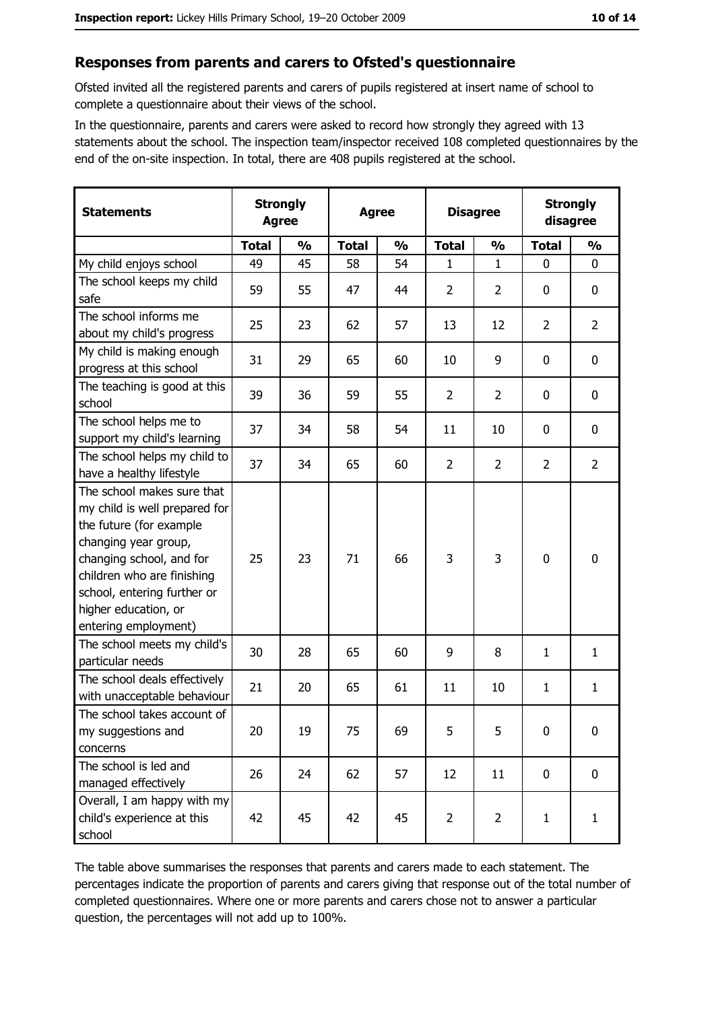#### Responses from parents and carers to Ofsted's questionnaire

Ofsted invited all the registered parents and carers of pupils registered at insert name of school to complete a questionnaire about their views of the school.

In the questionnaire, parents and carers were asked to record how strongly they agreed with 13 statements about the school. The inspection team/inspector received 108 completed questionnaires by the end of the on-site inspection. In total, there are 408 pupils registered at the school.

| <b>Statements</b>                                                                                                                                                                                                                                       | <b>Strongly</b><br><b>Agree</b> |               | <b>Agree</b> |               |                | <b>Disagree</b> |                | <b>Strongly</b><br>disagree |  |
|---------------------------------------------------------------------------------------------------------------------------------------------------------------------------------------------------------------------------------------------------------|---------------------------------|---------------|--------------|---------------|----------------|-----------------|----------------|-----------------------------|--|
|                                                                                                                                                                                                                                                         | <b>Total</b>                    | $\frac{0}{0}$ | <b>Total</b> | $\frac{0}{0}$ | <b>Total</b>   | $\frac{0}{0}$   | <b>Total</b>   | $\frac{1}{2}$               |  |
| My child enjoys school                                                                                                                                                                                                                                  | 49                              | 45            | 58           | 54            | 1              | 1               | 0              | 0                           |  |
| The school keeps my child<br>safe                                                                                                                                                                                                                       | 59                              | 55            | 47           | 44            | $\overline{2}$ | $\overline{2}$  | 0              | 0                           |  |
| The school informs me<br>about my child's progress                                                                                                                                                                                                      | 25                              | 23            | 62           | 57            | 13             | 12              | $\overline{2}$ | $\overline{2}$              |  |
| My child is making enough<br>progress at this school                                                                                                                                                                                                    | 31                              | 29            | 65           | 60            | 10             | 9               | 0              | $\mathbf 0$                 |  |
| The teaching is good at this<br>school                                                                                                                                                                                                                  | 39                              | 36            | 59           | 55            | $\overline{2}$ | $\overline{2}$  | 0              | $\mathbf 0$                 |  |
| The school helps me to<br>support my child's learning                                                                                                                                                                                                   | 37                              | 34            | 58           | 54            | 11             | 10              | 0              | 0                           |  |
| The school helps my child to<br>have a healthy lifestyle                                                                                                                                                                                                | 37                              | 34            | 65           | 60            | $\overline{2}$ | $\overline{2}$  | $\overline{2}$ | $\overline{2}$              |  |
| The school makes sure that<br>my child is well prepared for<br>the future (for example<br>changing year group,<br>changing school, and for<br>children who are finishing<br>school, entering further or<br>higher education, or<br>entering employment) | 25                              | 23            | 71           | 66            | 3              | 3               | 0              | $\mathbf 0$                 |  |
| The school meets my child's<br>particular needs                                                                                                                                                                                                         | 30                              | 28            | 65           | 60            | 9              | 8               | 1              | $\mathbf{1}$                |  |
| The school deals effectively<br>with unacceptable behaviour                                                                                                                                                                                             | 21                              | 20            | 65           | 61            | 11             | 10              | 1              | $\mathbf{1}$                |  |
| The school takes account of<br>my suggestions and<br>concerns                                                                                                                                                                                           | 20                              | 19            | 75           | 69            | 5              | 5               | 0              | 0                           |  |
| The school is led and<br>managed effectively                                                                                                                                                                                                            | 26                              | 24            | 62           | 57            | 12             | 11              | 0              | $\mathbf 0$                 |  |
| Overall, I am happy with my<br>child's experience at this<br>school                                                                                                                                                                                     | 42                              | 45            | 42           | 45            | $\overline{2}$ | $\overline{2}$  | $\mathbf{1}$   | $\mathbf{1}$                |  |

The table above summarises the responses that parents and carers made to each statement. The percentages indicate the proportion of parents and carers giving that response out of the total number of completed questionnaires. Where one or more parents and carers chose not to answer a particular question, the percentages will not add up to 100%.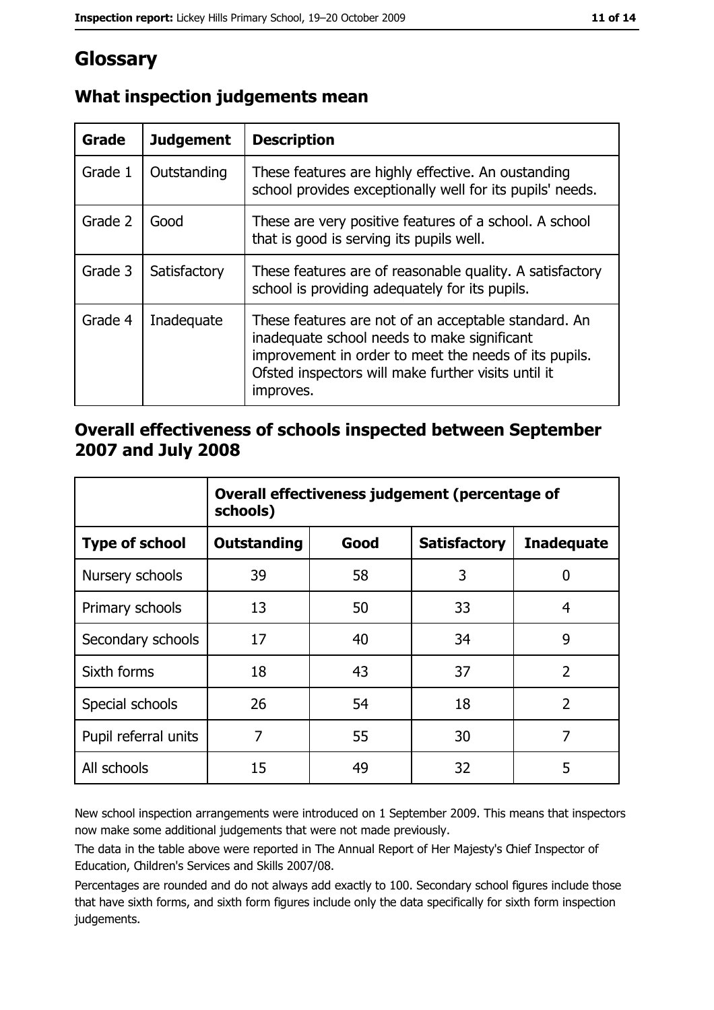## Glossary

| <b>Grade</b> | <b>Judgement</b> | <b>Description</b>                                                                                                                                                                                                               |  |
|--------------|------------------|----------------------------------------------------------------------------------------------------------------------------------------------------------------------------------------------------------------------------------|--|
| Grade 1      | Outstanding      | These features are highly effective. An oustanding<br>school provides exceptionally well for its pupils' needs.                                                                                                                  |  |
| Grade 2      | Good             | These are very positive features of a school. A school<br>that is good is serving its pupils well.                                                                                                                               |  |
| Grade 3      | Satisfactory     | These features are of reasonable quality. A satisfactory<br>school is providing adequately for its pupils.                                                                                                                       |  |
| Grade 4      | Inadequate       | These features are not of an acceptable standard. An<br>inadequate school needs to make significant<br>improvement in order to meet the needs of its pupils.<br>Ofsted inspectors will make further visits until it<br>improves. |  |

### What inspection judgements mean

#### Overall effectiveness of schools inspected between September 2007 and July 2008

|                       | Overall effectiveness judgement (percentage of<br>schools) |      |                     |                   |
|-----------------------|------------------------------------------------------------|------|---------------------|-------------------|
| <b>Type of school</b> | <b>Outstanding</b>                                         | Good | <b>Satisfactory</b> | <b>Inadequate</b> |
| Nursery schools       | 39                                                         | 58   | 3                   | 0                 |
| Primary schools       | 13                                                         | 50   | 33                  | 4                 |
| Secondary schools     | 17                                                         | 40   | 34                  | 9                 |
| Sixth forms           | 18                                                         | 43   | 37                  | $\overline{2}$    |
| Special schools       | 26                                                         | 54   | 18                  | $\overline{2}$    |
| Pupil referral units  | 7                                                          | 55   | 30                  | 7                 |
| All schools           | 15                                                         | 49   | 32                  | 5                 |

New school inspection arrangements were introduced on 1 September 2009. This means that inspectors now make some additional judgements that were not made previously.

The data in the table above were reported in The Annual Report of Her Majesty's Chief Inspector of Education, Children's Services and Skills 2007/08.

Percentages are rounded and do not always add exactly to 100. Secondary school figures include those that have sixth forms, and sixth form figures include only the data specifically for sixth form inspection judgements.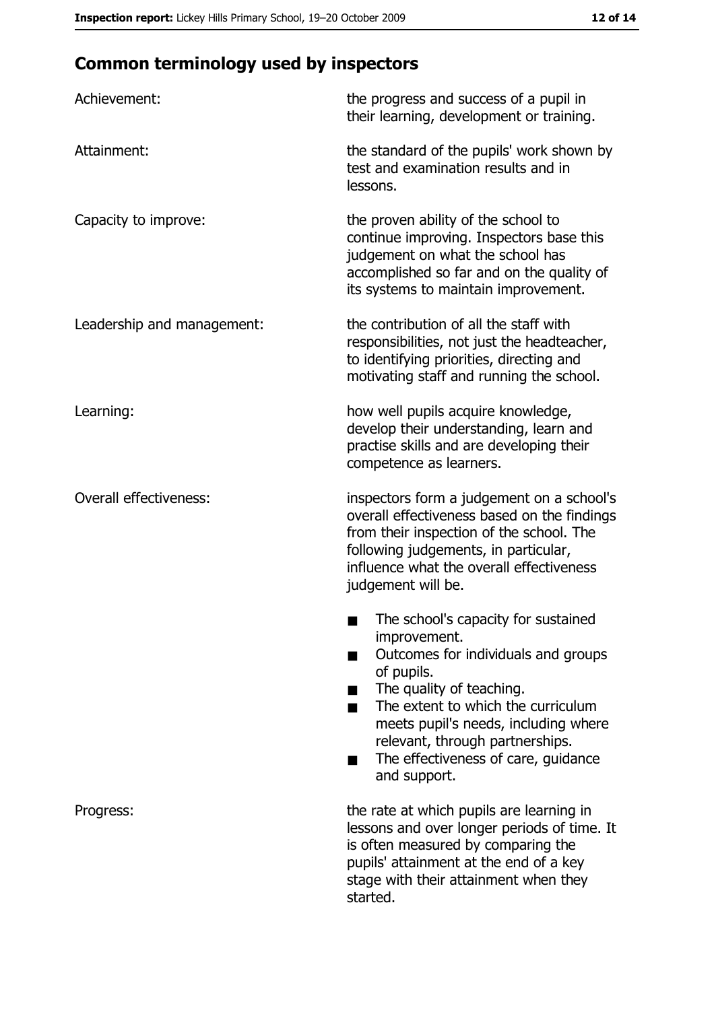## **Common terminology used by inspectors**

| Achievement:                  | the progress and success of a pupil in<br>their learning, development or training.                                                                                                                                                                                                                           |
|-------------------------------|--------------------------------------------------------------------------------------------------------------------------------------------------------------------------------------------------------------------------------------------------------------------------------------------------------------|
| Attainment:                   | the standard of the pupils' work shown by<br>test and examination results and in<br>lessons.                                                                                                                                                                                                                 |
| Capacity to improve:          | the proven ability of the school to<br>continue improving. Inspectors base this<br>judgement on what the school has<br>accomplished so far and on the quality of<br>its systems to maintain improvement.                                                                                                     |
| Leadership and management:    | the contribution of all the staff with<br>responsibilities, not just the headteacher,<br>to identifying priorities, directing and<br>motivating staff and running the school.                                                                                                                                |
| Learning:                     | how well pupils acquire knowledge,<br>develop their understanding, learn and<br>practise skills and are developing their<br>competence as learners.                                                                                                                                                          |
| <b>Overall effectiveness:</b> | inspectors form a judgement on a school's<br>overall effectiveness based on the findings<br>from their inspection of the school. The<br>following judgements, in particular,<br>influence what the overall effectiveness<br>judgement will be.                                                               |
|                               | The school's capacity for sustained<br>improvement.<br>Outcomes for individuals and groups<br>of pupils.<br>The quality of teaching.<br>The extent to which the curriculum<br>meets pupil's needs, including where<br>relevant, through partnerships.<br>The effectiveness of care, guidance<br>and support. |
| Progress:                     | the rate at which pupils are learning in<br>lessons and over longer periods of time. It<br>is often measured by comparing the<br>pupils' attainment at the end of a key<br>stage with their attainment when they<br>started.                                                                                 |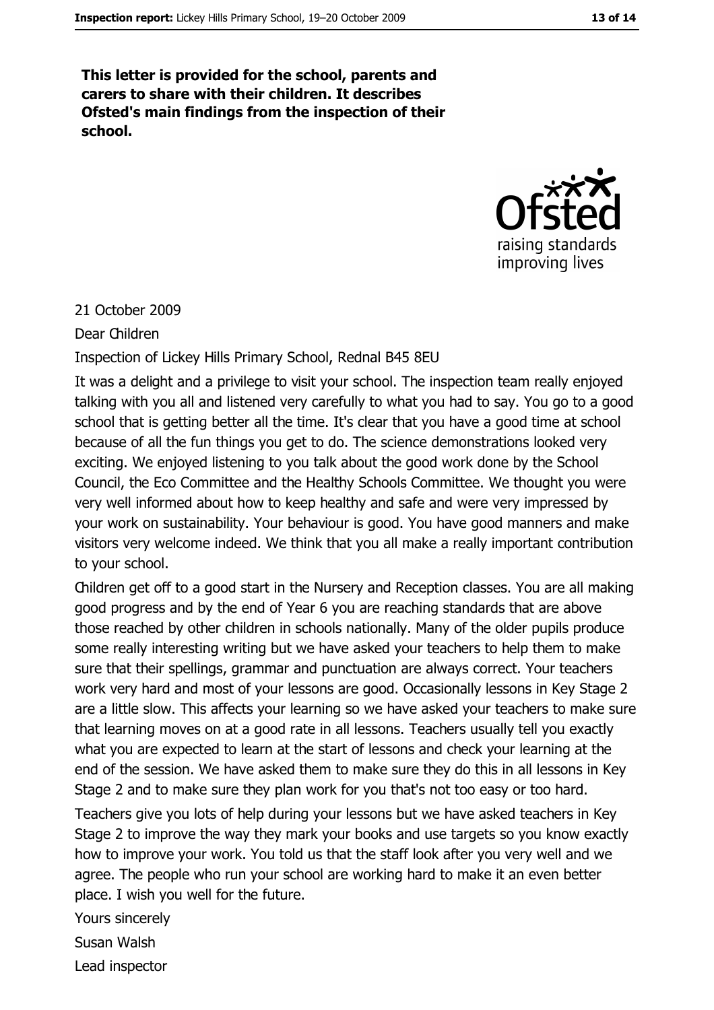This letter is provided for the school, parents and carers to share with their children. It describes Ofsted's main findings from the inspection of their school.



#### 21 October 2009

Dear Children

Inspection of Lickey Hills Primary School, Rednal B45 8EU

It was a delight and a privilege to visit your school. The inspection team really enjoyed talking with you all and listened very carefully to what you had to say. You go to a good school that is getting better all the time. It's clear that you have a good time at school because of all the fun things you get to do. The science demonstrations looked very exciting. We enjoyed listening to you talk about the good work done by the School Council, the Eco Committee and the Healthy Schools Committee. We thought you were very well informed about how to keep healthy and safe and were very impressed by your work on sustainability. Your behaviour is good. You have good manners and make visitors very welcome indeed. We think that you all make a really important contribution to your school.

Children get off to a good start in the Nursery and Reception classes. You are all making good progress and by the end of Year 6 you are reaching standards that are above those reached by other children in schools nationally. Many of the older pupils produce some really interesting writing but we have asked your teachers to help them to make sure that their spellings, grammar and punctuation are always correct. Your teachers work very hard and most of your lessons are good. Occasionally lessons in Key Stage 2 are a little slow. This affects your learning so we have asked your teachers to make sure that learning moves on at a good rate in all lessons. Teachers usually tell you exactly what you are expected to learn at the start of lessons and check your learning at the end of the session. We have asked them to make sure they do this in all lessons in Key Stage 2 and to make sure they plan work for you that's not too easy or too hard.

Teachers give you lots of help during your lessons but we have asked teachers in Key Stage 2 to improve the way they mark your books and use targets so you know exactly how to improve your work. You told us that the staff look after you very well and we agree. The people who run your school are working hard to make it an even better place. I wish you well for the future.

Yours sincerely Susan Walsh Lead inspector